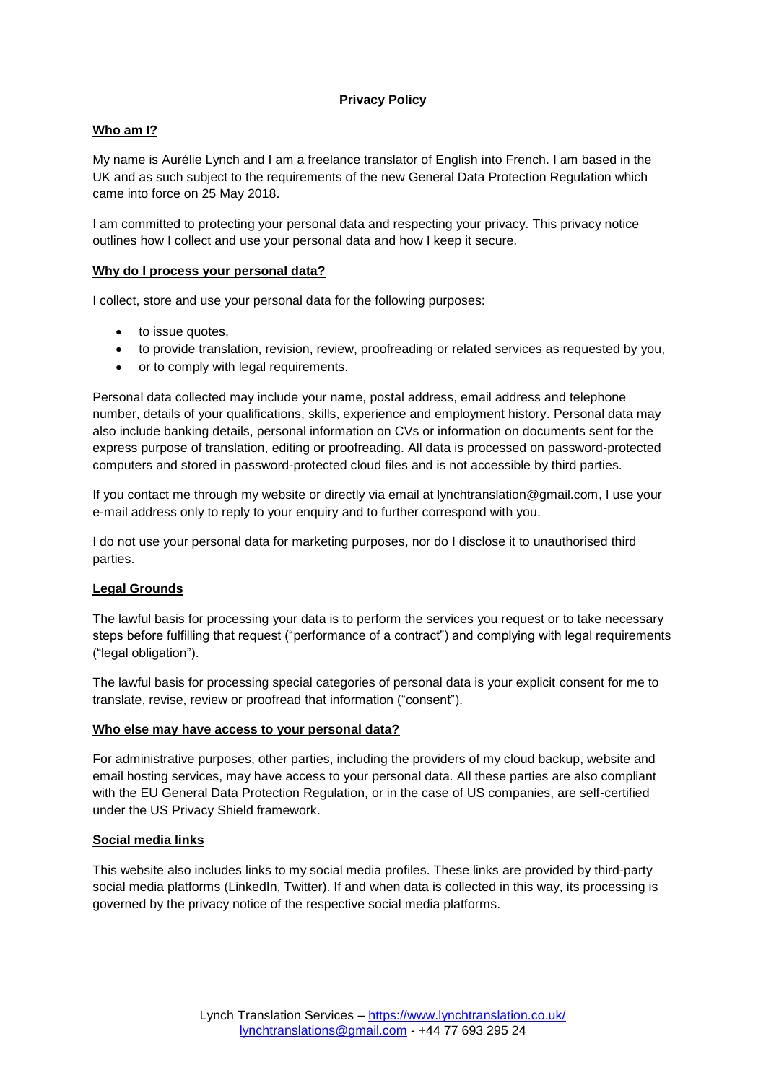# **Privacy Policy**

# **Who am I?**

My name is Aurélie Lynch and I am a freelance translator of English into French. I am based in the UK and as such subject to the requirements of the new General Data Protection Regulation which came into force on 25 May 2018.

I am committed to protecting your personal data and respecting your privacy. This privacy notice outlines how I collect and use your personal data and how I keep it secure.

## **Why do I process your personal data?**

I collect, store and use your personal data for the following purposes:

- to issue quotes,
- to provide translation, revision, review, proofreading or related services as requested by you,
- or to comply with legal requirements.

Personal data collected may include your name, postal address, email address and telephone number, details of your qualifications, skills, experience and employment history. Personal data may also include banking details, personal information on CVs or information on documents sent for the express purpose of translation, editing or proofreading. All data is processed on password-protected computers and stored in password-protected cloud files and is not accessible by third parties.

If you contact me through my website or directly via email at lynchtranslation@gmail.com, I use your e-mail address only to reply to your enquiry and to further correspond with you.

I do not use your personal data for marketing purposes, nor do I disclose it to unauthorised third parties.

## **Legal Grounds**

The lawful basis for processing your data is to perform the services you request or to take necessary steps before fulfilling that request ("performance of a contract") and complying with legal requirements ("legal obligation").

The lawful basis for processing special categories of personal data is your explicit consent for me to translate, revise, review or proofread that information ("consent").

#### **Who else may have access to your personal data?**

For administrative purposes, other parties, including the providers of my cloud backup, website and email hosting services, may have access to your personal data. All these parties are also compliant with the EU General Data Protection Regulation, or in the case of US companies, are self-certified under the US Privacy Shield framework.

## **Social media links**

This website also includes links to my social media profiles. These links are provided by third-party social media platforms (LinkedIn, Twitter). If and when data is collected in this way, its processing is governed by the privacy notice of the respective social media platforms.